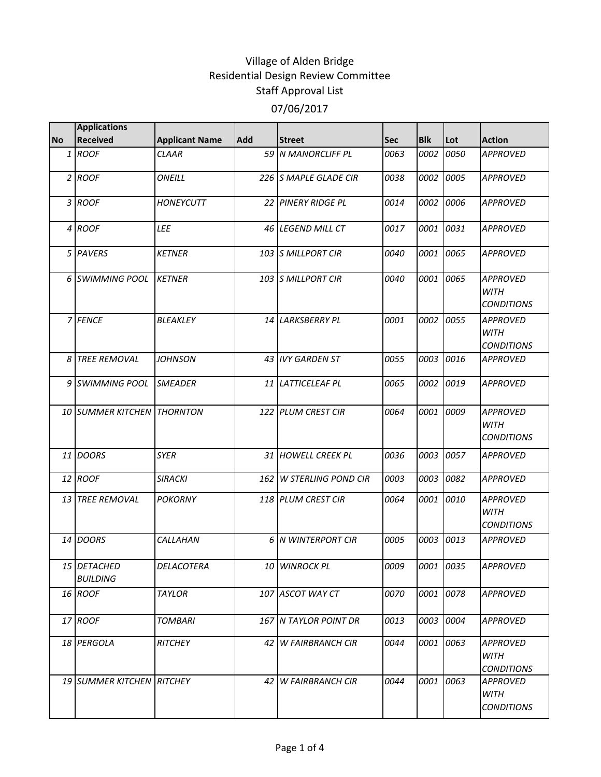|                | <b>Applications</b>            |                       |            |                         |      |            |           |                                                     |
|----------------|--------------------------------|-----------------------|------------|-------------------------|------|------------|-----------|-----------------------------------------------------|
| <b>No</b>      | <b>Received</b>                | <b>Applicant Name</b> | <b>Add</b> | <b>Street</b>           | Sec  | <b>Blk</b> | Lot       | <b>Action</b>                                       |
|                | 1 ROOF                         | <b>CLAAR</b>          |            | 59 N MANORCLIFF PL      | 0063 | 0002       | 0050      | <b>APPROVED</b>                                     |
|                | 2 ROOF                         | ONEILL                |            | 226 S MAPLE GLADE CIR   | 0038 | 0002       | 0005      | <b>APPROVED</b>                                     |
|                | 3 ROOF                         | <b>HONEYCUTT</b>      |            | 22 PINERY RIDGE PL      | 0014 | 0002       | 0006      | <b>APPROVED</b>                                     |
|                | 4 ROOF                         | LEE                   |            | 46 LEGEND MILL CT       | 0017 |            | 0001 0031 | <b>APPROVED</b>                                     |
|                | 5 PAVERS                       | <b>KETNER</b>         |            | 103 S MILLPORT CIR      | 0040 | 0001       | 0065      | <b>APPROVED</b>                                     |
|                | 6 SWIMMING POOL                | <b>KETNER</b>         |            | 103 S MILLPORT CIR      | 0040 | 0001       | 0065      | <b>APPROVED</b><br><b>WITH</b><br><b>CONDITIONS</b> |
|                | 7 FENCE                        | BLEAKLEY              |            | 14 LARKSBERRY PL        | 0001 | 0002       | 0055      | <b>APPROVED</b><br><b>WITH</b><br><b>CONDITIONS</b> |
| 8 <sup>1</sup> | <b>TREE REMOVAL</b>            | <b>JOHNSON</b>        |            | 43 IVY GARDEN ST        | 0055 | 0003       | 0016      | <b>APPROVED</b>                                     |
|                | 9 SWIMMING POOL                | <b>SMEADER</b>        |            | 11 LATTICELEAF PL       | 0065 | 0002       | 10019     | <b>APPROVED</b>                                     |
|                | 10 SUMMER KITCHEN THORNTON     |                       |            | 122 PLUM CREST CIR      | 0064 |            | 0001 0009 | <b>APPROVED</b><br><b>WITH</b><br><b>CONDITIONS</b> |
|                | 11 DOORS                       | <b>SYER</b>           |            | 31 HOWELL CREEK PL      | 0036 | 0003       | 0057      | <b>APPROVED</b>                                     |
|                | 12 ROOF                        | <b>SIRACKI</b>        |            | 162 W STERLING POND CIR | 0003 | 0003       | 0082      | <b>APPROVED</b>                                     |
|                | 13 TREE REMOVAL                | <b>POKORNY</b>        |            | 118 PLUM CREST CIR      | 0064 | 0001       | 0010      | <b>APPROVED</b><br><b>WITH</b><br><b>CONDITIONS</b> |
|                | 14 DOORS                       | CALLAHAN              |            | 6 N WINTERPORT CIR      | 0005 |            | 0003 0013 | <b>APPROVED</b>                                     |
|                | 15 DETACHED<br><b>BUILDING</b> | DELACOTERA            |            | 10 WINROCK PL           | 0009 |            | 0001 0035 | <b>APPROVED</b>                                     |
|                | 16 ROOF                        | <b>TAYLOR</b>         |            | 107 ASCOT WAY CT        | 0070 |            | 0001 0078 | <b>APPROVED</b>                                     |
|                | 17 ROOF                        | <b>TOMBARI</b>        |            | 167 N TAYLOR POINT DR   | 0013 |            | 0003 0004 | <b>APPROVED</b>                                     |
|                | 18 PERGOLA                     | RITCHEY               |            | 42 W FAIRBRANCH CIR     | 0044 |            | 0001 0063 | <b>APPROVED</b><br><b>WITH</b><br><b>CONDITIONS</b> |
|                | 19 SUMMER KITCHEN RITCHEY      |                       |            | 42 W FAIRBRANCH CIR     | 0044 |            | 0001 0063 | <b>APPROVED</b><br>WITH<br><b>CONDITIONS</b>        |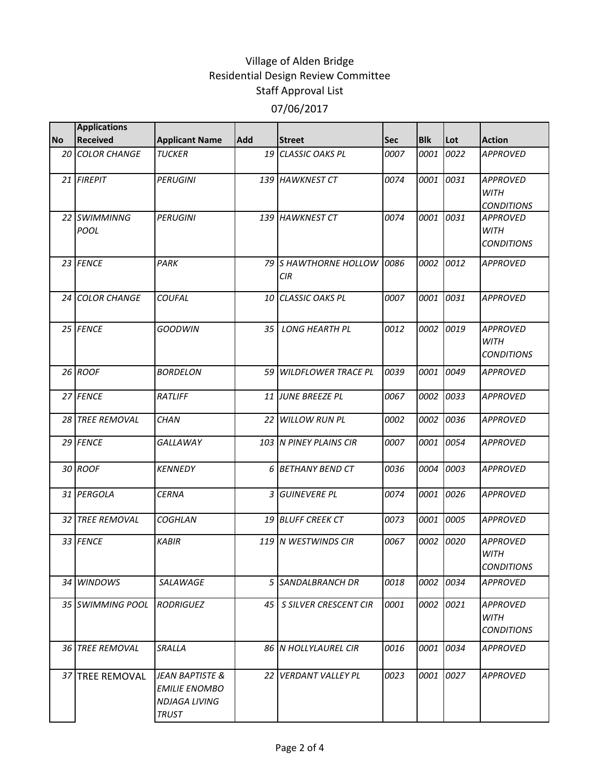|           | <b>Applications</b>    |                                                                          |                 |                              |      |            |           |                                                     |
|-----------|------------------------|--------------------------------------------------------------------------|-----------------|------------------------------|------|------------|-----------|-----------------------------------------------------|
| <b>No</b> | <b>Received</b>        | <b>Applicant Name</b>                                                    | <b>Add</b>      | <b>Street</b>                | Sec  | <b>Blk</b> | Lot       | <b>Action</b>                                       |
|           | <b>20 COLOR CHANGE</b> | <b>TUCKER</b>                                                            |                 | 19 CLASSIC OAKS PL           | 0007 | 0001       | 0022      | <b>APPROVED</b>                                     |
|           | 21 FIREPIT             | <b>PERUGINI</b>                                                          |                 | 139 HAWKNEST CT              | 0074 | 0001       | 0031      | <b>APPROVED</b><br><b>WITH</b><br><b>CONDITIONS</b> |
|           | 22 SWIMMINNG<br>POOL   | <b>PERUGINI</b>                                                          |                 | 139 HAWKNEST CT              | 0074 | 0001       | 0031      | <b>APPROVED</b><br><b>WITH</b><br><b>CONDITIONS</b> |
|           | 23 FENCE               | PARK                                                                     |                 | 79 S HAWTHORNE HOLLOW<br>CIR | 0086 |            | 0002 0012 | <b>APPROVED</b>                                     |
|           | 24 COLOR CHANGE        | COUFAL                                                                   |                 | 10 CLASSIC OAKS PL           | 0007 | 0001 0031  |           | <b>APPROVED</b>                                     |
|           | 25 FENCE               | <b>GOODWIN</b>                                                           | 35 <sub>1</sub> | <b>LONG HEARTH PL</b>        | 0012 |            | 0002 0019 | <b>APPROVED</b><br><b>WITH</b><br><b>CONDITIONS</b> |
|           | 26 ROOF                | <b>BORDELON</b>                                                          |                 | 59 WILDFLOWER TRACE PL       | 0039 | 0001       | 0049      | <b>APPROVED</b>                                     |
|           | 27 FENCE               | <b>RATLIFF</b>                                                           |                 | 11 JUNE BREEZE PL            | 0067 | 0002       | 0033      | <b>APPROVED</b>                                     |
|           | 28 TREE REMOVAL        | <b>CHAN</b>                                                              |                 | 22 WILLOW RUN PL             | 0002 | 0002       | 0036      | <b>APPROVED</b>                                     |
|           | 29 FENCE               | GALLAWAY                                                                 |                 | 103 N PINEY PLAINS CIR       | 0007 | 0001       | 0054      | <b>APPROVED</b>                                     |
|           | 30 ROOF                | <b>KENNEDY</b>                                                           |                 | 6 BETHANY BEND CT            | 0036 |            | 0004 0003 | <b>APPROVED</b>                                     |
|           | 31 PERGOLA             | <b>CERNA</b>                                                             |                 | 3 GUINEVERE PL               | 0074 | 0001       | 0026      | <b>APPROVED</b>                                     |
|           | <b>32 TREE REMOVAL</b> | <b>COGHLAN</b>                                                           |                 | <b>19 BLUFF CREEK CT</b>     | 0073 | 0001       | 0005      | <b>APPROVED</b>                                     |
|           | 33 FENCE               | <b>KABIR</b>                                                             |                 | 119 N WESTWINDS CIR          | 0067 |            | 0002 0020 | <b>APPROVED</b><br><b>WITH</b><br><b>CONDITIONS</b> |
|           | 34 WINDOWS             | SALAWAGE                                                                 |                 | 5 SANDALBRANCH DR            | 0018 |            | 0002 0034 | <b>APPROVED</b>                                     |
|           | 35 SWIMMING POOL       | <b>RODRIGUEZ</b>                                                         |                 | 45   S SILVER CRESCENT CIR   | 0001 |            | 0002 0021 | <b>APPROVED</b><br><b>WITH</b><br><b>CONDITIONS</b> |
|           | 36 TREE REMOVAL        | SRALLA                                                                   |                 | 86 N HOLLYLAUREL CIR         | 0016 |            | 0001 0034 | <b>APPROVED</b>                                     |
|           | 37 TREE REMOVAL        | JEAN BAPTISTE &<br><b>EMILIE ENOMBO</b><br>NDJAGA LIVING<br><b>TRUST</b> |                 | 22 VERDANT VALLEY PL         | 0023 |            | 0001 0027 | <b>APPROVED</b>                                     |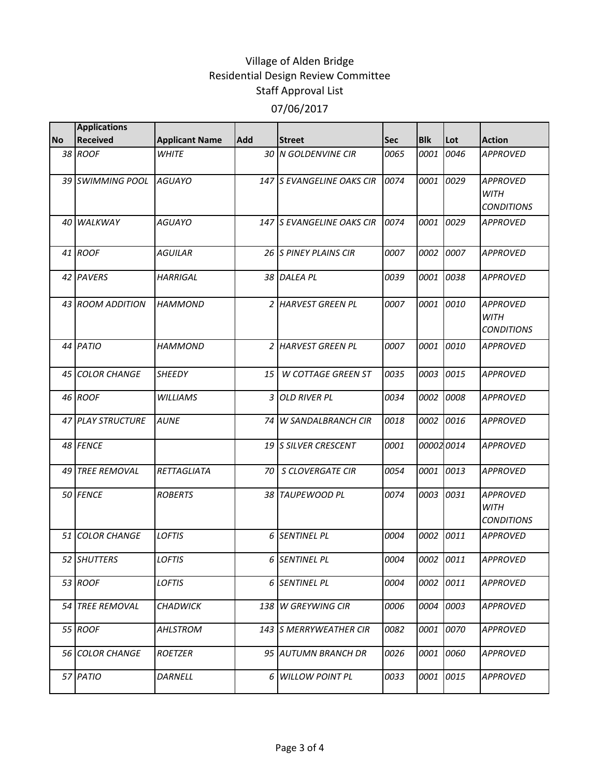|           | <b>Applications</b>    |                       |     |                                |            |            |      |                                                     |
|-----------|------------------------|-----------------------|-----|--------------------------------|------------|------------|------|-----------------------------------------------------|
| <b>No</b> | <b>Received</b>        | <b>Applicant Name</b> | Add | <b>Street</b>                  | <b>Sec</b> | <b>Blk</b> | Lot  | <b>Action</b>                                       |
|           | 38 ROOF                | <b>WHITE</b>          |     | 30 N GOLDENVINE CIR            | 0065       | 0001       | 0046 | <b>APPROVED</b>                                     |
|           | 39 SWIMMING POOL       | <b>AGUAYO</b>         |     | 147 S EVANGELINE OAKS CIR      | 0074       | 0001       | 0029 | <b>APPROVED</b><br><b>WITH</b><br><b>CONDITIONS</b> |
| 40        | <b>WALKWAY</b>         | <b>AGUAYO</b>         |     | 147 S EVANGELINE OAKS CIR      | 0074       | 0001       | 0029 | <b>APPROVED</b>                                     |
|           | 41 ROOF                | <b>AGUILAR</b>        |     | 26 S PINEY PLAINS CIR          | 0007       | 0002       | 0007 | <b>APPROVED</b>                                     |
|           | 42 PAVERS              | <b>HARRIGAL</b>       |     | 38 DALEA PL                    | 0039       | 0001       | 0038 | <b>APPROVED</b>                                     |
|           | 43 ROOM ADDITION       | <b>HAMMOND</b>        |     | 2 HARVEST GREEN PL             | 0007       | 0001       | 0010 | <b>APPROVED</b><br><b>WITH</b><br><b>CONDITIONS</b> |
|           | 44 PATIO               | <b>HAMMOND</b>        |     | 2 HARVEST GREEN PL             | 0007       | 0001       | 0010 | <b>APPROVED</b>                                     |
| 45        | <b>COLOR CHANGE</b>    | <b>SHEEDY</b>         | 15  | <b>W COTTAGE GREEN ST</b>      | 0035       | 0003       | 0015 | <b>APPROVED</b>                                     |
|           | 46 ROOF                | <b>WILLIAMS</b>       | 3   | <b>OLD RIVER PL</b>            | 0034       | 0002       | 0008 | <b>APPROVED</b>                                     |
|           | 47 PLAY STRUCTURE      | <b>AUNE</b>           |     | 74 W SANDALBRANCH CIR          | 0018       | 0002       | 0016 | <b>APPROVED</b>                                     |
|           | 48 FENCE               |                       |     | 19 S SILVER CRESCENT           | 0001       | 00002 0014 |      | <b>APPROVED</b>                                     |
| 49        | <b>TREE REMOVAL</b>    | RETTAGLIATA           | 70  | S CLOVERGATE CIR               | 0054       | 0001       | 0013 | <b>APPROVED</b>                                     |
|           | 50 FENCE               | <b>ROBERTS</b>        |     | 38 TAUPEWOOD PL                | 0074       | 0003       | 0031 | <b>APPROVED</b><br><b>WITH</b><br><b>CONDITIONS</b> |
| 51        | <b>COLOR CHANGE</b>    | <b>LOFTIS</b>         |     | 6 SENTINEL PL                  | 0004       | 0002       | 0011 | <b>APPROVED</b>                                     |
|           | 52 SHUTTERS            | <b>LOFTIS</b>         |     | 6 SENTINEL PL                  | 0004       | 0002 0011  |      | <b>APPROVED</b>                                     |
|           | 53 ROOF                | <b>LOFTIS</b>         |     | 6 SENTINEL PL                  | 0004       | 0002       | 0011 | <b>APPROVED</b>                                     |
|           | 54 TREE REMOVAL        | <b>CHADWICK</b>       | 138 | <b>W GREYWING CIR</b>          | 0006       | 0004       | 0003 | <b>APPROVED</b>                                     |
|           | 55 ROOF                | AHLSTROM              |     | <b>143 IS MERRYWEATHER CIR</b> | 0082       | 0001       | 0070 | APPROVED                                            |
|           | <b>56 COLOR CHANGE</b> | <b>ROETZER</b>        |     | 95 AUTUMN BRANCH DR            | 0026       | 0001       | 0060 | APPROVED                                            |
|           | 57 PATIO               | DARNELL               |     | 6 WILLOW POINT PL              | 0033       | 0001       | 0015 | <b>APPROVED</b>                                     |